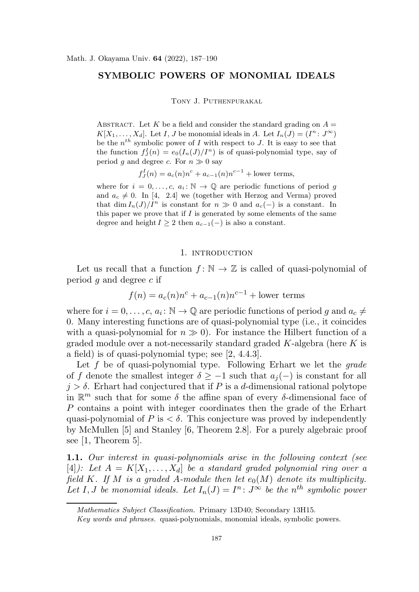# SYMBOLIC POWERS OF MONOMIAL IDEALS

Tony J. Puthenpurakal

ABSTRACT. Let K be a field and consider the standard grading on  $A =$  $K[X_1,\ldots,X_d]$ . Let I, J be monomial ideals in A. Let  $I_n(J) = (I^n : J^{\infty})$ be the  $n^{th}$  symbolic power of I with respect to J. It is easy to see that the function  $f_{J}^{I}(n) = e_{0}(I_{n}(J)/I^{n})$  is of quasi-polynomial type, say of period g and degree c. For  $n \gg 0$  say

$$
f_{J}^{I}(n) = a_{c}(n)n^{c} + a_{c-1}(n)n^{c-1} +
$$
lower terms,

where for  $i = 0, \ldots, c, a_i : \mathbb{N} \to \mathbb{Q}$  are periodic functions of period g and  $a_c \neq 0$ . In [4, 2.4] we (together with Herzog and Verma) proved that dim  $I_n(J)/I^n$  is constant for  $n \gg 0$  and  $a_c(-)$  is a constant. In this paper we prove that if  $I$  is generated by some elements of the same degree and height  $I \geq 2$  then  $a_{c-1}(-)$  is also a constant.

### 1. INTRODUCTION

Let us recall that a function  $f: \mathbb{N} \to \mathbb{Z}$  is called of quasi-polynomial of period  $q$  and degree  $c$  if

$$
f(n) = a_c(n)n^c + a_{c-1}(n)n^{c-1} +
$$
lower terms

where for  $i = 0, \ldots, c, a_i : \mathbb{N} \to \mathbb{Q}$  are periodic functions of period g and  $a_c \neq$ 0. Many interesting functions are of quasi-polynomial type (i.e., it coincides with a quasi-polynomial for  $n \gg 0$ . For instance the Hilbert function of a graded module over a not-necessarily standard graded  $K$ -algebra (here  $K$  is a field) is of quasi-polynomial type; see [2, 4.4.3].

Let f be of quasi-polynomial type. Following Erhart we let the *grade* of f denote the smallest integer  $\delta \geq -1$  such that  $a_j(-)$  is constant for all  $j > \delta$ . Erhart had conjectured that if P is a d-dimensional rational polytope in  $\mathbb{R}^m$  such that for some  $\delta$  the affine span of every  $\delta$ -dimensional face of P contains a point with integer coordinates then the grade of the Erhart quasi-polynomial of P is  $\lt \delta$ . This conjecture was proved by independently by McMullen [5] and Stanley [6, Theorem 2.8]. For a purely algebraic proof see [1, Theorem 5].

1.1. *Our interest in quasi-polynomials arise in the following context (see*  $[4]$ : Let  $A = K[X_1, \ldots, X_d]$  be a standard graded polynomial ring over a *field* K. If M is a graded A-module then let  $e_0(M)$  denote its multiplicity. Let I, *J* be monomial ideals. Let  $I_n(J) = I^n : J^{\infty}$  be the  $n^{th}$  symbolic power

Mathematics Subject Classification. Primary 13D40; Secondary 13H15.

Key words and phrases. quasi-polynomials, monomial ideals, symbolic powers.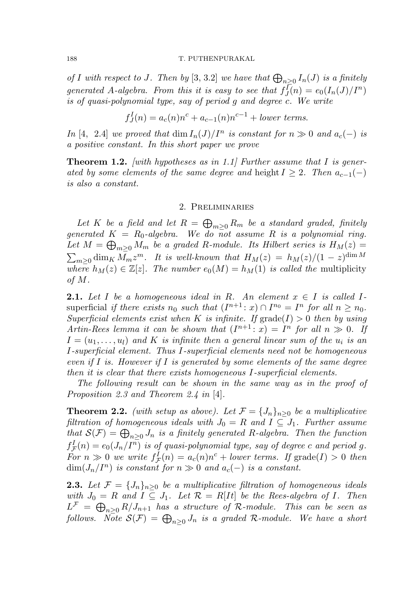#### 188 T. PUTHENPURAKAL

*of* I with respect to J. Then by [3, 3.2] we have that  $\bigoplus_{n\geq 0} I_n(J)$  is a finitely *generated* A*-algebra. From this it is easy to see that* f I  $J_I^{\bar{I}}(n) = e_0(I_n(J)/I^n)$ *is of quasi-polynomial type, say of period* g *and degree* c*. We write*

$$
f_J^I(n) = a_c(n)n^c + a_{c-1}(n)n^{c-1} + lower \ terms.
$$

*In* [4, 2.4] *we proved that* dim  $I_n(J)/I^n$  *is constant for*  $n \gg 0$  *and*  $a_c(-)$  *is a positive constant. In this short paper we prove*

Theorem 1.2. *[with hypotheses as in 1.1] Further assume that* I *is generated by some elements of the same degree and height I ≥ 2. Then*  $a_{c-1}(-)$ *is also a constant.*

### 2. Preliminaries

 $Let\ K\ be\ a\ field\ and\ let\ R=\bigoplus_{m\geq 0}R_m\ be\ a\ standard\ graded,\ finitely$ *generated* K = R0*-algebra. We do not assume* R *is a polynomial ring.* Let  $M = \bigoplus_{m \geq 0} M_m$  be a graded R-module. Its Hilbert series is  $H_M(z) =$  $\sum_{m\geq 0} \dim_K \bar{M_m} z^m$ . It is well-known that  $H_M(z) = h_M(z)/(1-z)^{\dim M}$ *where*  $h_M(z) \in \mathbb{Z}[z]$ *. The number*  $e_0(M) = h_M(1)$  *is called the* multiplicity *of* M*.*

**2.1.** Let I be a homogeneous ideal in R. An element  $x \in I$  is called Isuperficial *if there exists*  $n_0$  *such that*  $(I^{n+1}: x) \cap I^{n_0} = I^n$  *for all*  $n \geq n_0$ *. Superficial elements exist when* K *is infinite.* If  $\text{grade}(I) > 0$  *then by using Artin-Rees lemma it can be shown that*  $(I^{n+1}: x) = I^n$  for all  $n \gg 0$ . If  $I = (u_1, \ldots, u_l)$  and  $K$  *is infinite then a general linear sum of the*  $u_i$  *is an* I*-superficial element. Thus* I*-superficial elements need not be homogeneous even if* I *is. However if* I *is generated by some elements of the same degree then it is clear that there exists homogeneous* I*-superficial elements.*

*The following result can be shown in the same way as in the proof of Proposition 2.3 and Theorem 2.4 in* [4]*.*

**Theorem 2.2.** *(with setup as above). Let*  $\mathcal{F} = \{J_n\}_{n>0}$  *be a multiplicative filtration of homogeneous ideals with*  $J_0 = R$  *and*  $I \subseteq J_1$ *. Further assume*  $that~\mathcal{S}(\mathcal{F}) = \bigoplus_{n\geq 0} J_n$  *is a finitely generated R-algebra. Then the function*  $f_{\bar{\mathcal{I}}}^I$  $F_{\mathcal{F}}(n) = e_0(J_n/I^n)$  is of quasi-polynomial type, say of degree c and period g. *For*  $n \gg 0$  *we write*  $f_{\mathcal{I}}^I$  $f_{\mathcal{F}}(n) = a_c(n)n^c + lower \ terms.$  If grade(I) > 0 *then*  $\dim(J_n/I^n)$  *is constant for*  $n \gg 0$  *and*  $a_c(-)$  *is a constant.* 

**2.3.** Let  $\mathcal{F} = \{J_n\}_{n\geq 0}$  be a multiplicative filtration of homogeneous ideals *with*  $J_0 = R$  *and*  $I \subseteq J_1$ *. Let*  $\mathcal{R} = R[It]$  *be the Rees-algebra of* I*. Then*  $L^{\mathcal{F}} \;=\; \bigoplus_{n\geq 0} R/J_{n+1} \; \; has \; \; a \; \; structure \;\; of \;\; {\mathcal{R}}\textrm{-}module. \quad This \; \; can \; \; be \; \; seen \; \; as$  $\textit{follows. Note } \mathcal{S}(\mathcal{F}) \, = \, \bigoplus_{n \geq 0} J_n \, \, \, \textit{is a graded} \, \, \mathcal{R}\textit{-module.} \, \, \, \textit{We have a short}$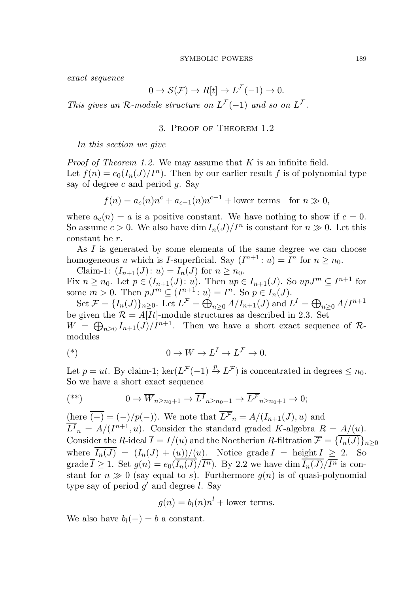*exact sequence*

$$
0 \to \mathcal{S}(\mathcal{F}) \to R[t] \to L^{\mathcal{F}}(-1) \to 0.
$$

*This gives an*  $\mathcal{R}$ *-module structure on*  $L^{\mathcal{F}}(-1)$  *and so on*  $L^{\mathcal{F}}$ *.* 

## 3. Proof of Theorem 1.2

*In this section we give*

*Proof of Theorem 1.2.* We may assume that K is an infinite field. Let  $f(n) = e_0(I_n(J)/I^n)$ . Then by our earlier result f is of polynomial type say of degree c and period  $q$ . Say

$$
f(n) = a_c(n)n^c + a_{c-1}(n)n^{c-1} + \text{lower terms for } n \gg 0,
$$

where  $a_c(n) = a$  is a positive constant. We have nothing to show if  $c = 0$ . So assume  $c > 0$ . We also have  $\dim I_n(J)/I^n$  is constant for  $n \gg 0$ . Let this constant be r.

As I is generated by some elements of the same degree we can choose homogeneous u which is I-superficial. Say  $(I^{n+1}: u) = I^n$  for  $n \geq n_0$ .

Claim-1:  $(I_{n+1}(J): u) = I_n(J)$  for  $n \geq n_0$ . Fix  $n \geq n_0$ . Let  $p \in (I_{n+1}(J): u)$ . Then  $up \in I_{n+1}(J)$ . So  $upJ^m \subseteq I^{n+1}$  for some  $m > 0$ . Then  $pJ^m \subseteq (I^{n+1}: u) = I^n$ . So  $p \in I_n(J)$ .

Set  $\mathcal{F} = \{I_n(J)\}_{n\geq 0}$ . Let  $L^{\mathcal{F}} = \bigoplus_{n\geq 0} A/I_{n+1}(J)$  and  $L^I = \bigoplus_{n\geq 0} A/I^{n+1}$ be given the  $\mathcal{R} = A[It]$ -module structures as described in 2.3. Set  $W = \bigoplus_{n \geq 0} I_{n+1}(J)/I^{n+1}$ . Then we have a short exact sequence of Rmodules

$$
(*) \qquad \qquad 0 \to W \to L^I \to L^{\mathcal{F}} \to 0.
$$

Let  $p = ut$ . By claim-1;  $\ker(L^{\mathcal{F}}(-1) \stackrel{p}{\to} L^{\mathcal{F}})$  is concentrated in degrees  $\leq n_0$ . So we have a short exact sequence

$$
(*) \t\t\t\t 0 \to \overline{W}_{n \ge n_0+1} \to \overline{L^I}_{n \ge n_0+1} \to \overline{L^F}_{n \ge n_0+1} \to 0;
$$

(here  $\overline{(-)} = (-)/p(-)$ ). We note that  $L^{\mathcal{F}}_n = A/(I_{n+1}(J), u)$  and  $\overline{L^I}_n = A/(I^{n+1}, u)$ . Consider the standard graded K-algebra  $R = A/(u)$ . Consider the R-ideal  $\overline{I} = I/(u)$  and the Noetherian R-filtration  $\overline{\mathcal{F}} = {\overline{I_n(J)}}_{n\geq 0}$ where  $I_n(J) = (I_n(J) + (u))/(u)$ . Notice grade  $I =$  height  $I \geq 2$ . So grade  $\overline{I} \geq 1$ . Set  $g(n) = e_0(I_n(J)/\overline{I^n})$ . By 2.2 we have  $\dim I_n(J)/\overline{I^n}$  is constant for  $n \gg 0$  (say equal to s). Furthermore  $q(n)$  is of quasi-polynomial type say of period  $g'$  and degree l. Say

$$
g(n) = b_l(n)n^l +
$$
lower terms.

We also have  $b_l(-) = b$  a constant.